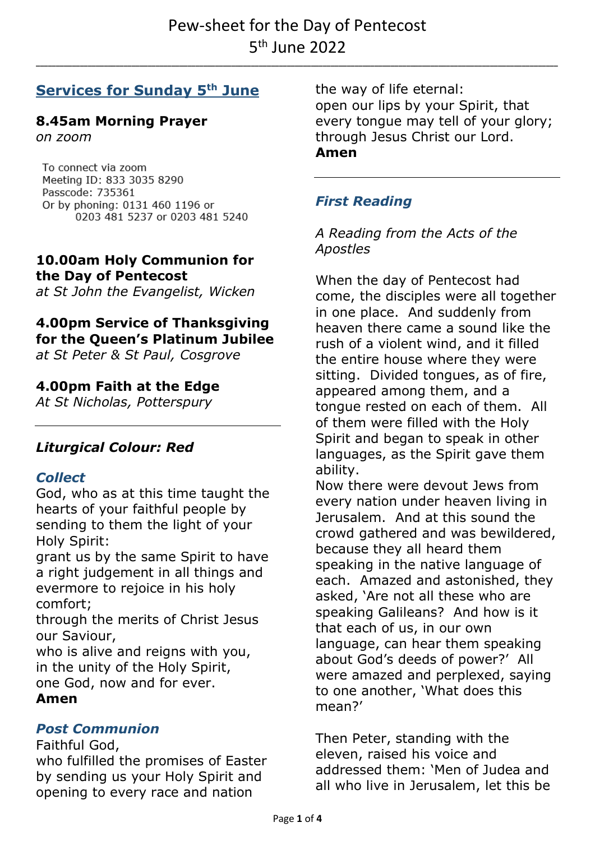**\_\_\_\_\_\_\_\_\_\_\_\_\_\_\_\_\_\_\_\_\_\_\_\_\_\_\_\_\_\_\_\_\_\_\_\_\_\_\_\_\_\_\_\_\_\_\_\_\_\_\_\_\_\_\_\_\_\_\_\_\_\_\_\_\_\_\_\_\_\_\_\_\_\_\_\_\_\_\_\_\_\_\_\_\_\_\_\_\_\_\_\_\_\_\_\_\_\_\_\_\_\_\_\_\_\_\_\_\_\_\_\_\_\_\_\_\_\_\_\_\_\_\_\_\_\_\_\_\_\_\_**

# **Services for Sunday 5 th June**

# **8.45am Morning Prayer**

*on zoom*

To connect via zoom Meeting ID: 833 3035 8290 Passcode: 735361 Or by phoning: 0131 460 1196 or 0203 481 5237 or 0203 481 5240

### **10.00am Holy Communion for the Day of Pentecost**

*at St John the Evangelist, Wicken*

# **4.00pm Service of Thanksgiving for the Queen's Platinum Jubilee**

*at St Peter & St Paul, Cosgrove*

#### **4.00pm Faith at the Edge**

*At St Nicholas, Potterspury*

#### *Liturgical Colour: Red*

#### *Collect*

God, who as at this time taught the hearts of your faithful people by sending to them the light of your Holy Spirit:

grant us by the same Spirit to have a right judgement in all things and evermore to rejoice in his holy comfort;

through the merits of Christ Jesus our Saviour,

who is alive and reigns with you, in the unity of the Holy Spirit, one God, now and for ever.

#### **Amen**

#### *Post Communion*

#### Faithful God,

who fulfilled the promises of Easter by sending us your Holy Spirit and opening to every race and nation

the way of life eternal: open our lips by your Spirit, that every tongue may tell of your glory; through Jesus Christ our Lord. **Amen**

# *First Reading*

*A Reading from the Acts of the Apostles*

When the day of Pentecost had come, the disciples were all together in one place. And suddenly from heaven there came a sound like the rush of a violent wind, and it filled the entire house where they were sitting. Divided tongues, as of fire, appeared among them, and a tongue rested on each of them. All of them were filled with the Holy Spirit and began to speak in other languages, as the Spirit gave them ability.

Now there were devout Jews from every nation under heaven living in Jerusalem. And at this sound the crowd gathered and was bewildered, because they all heard them speaking in the native language of each. Amazed and astonished, they asked, 'Are not all these who are speaking Galileans? And how is it that each of us, in our own language, can hear them speaking about God's deeds of power?' All were amazed and perplexed, saying to one another, 'What does this mean?'

Then Peter, standing with the eleven, raised his voice and addressed them: 'Men of Judea and all who live in Jerusalem, let this be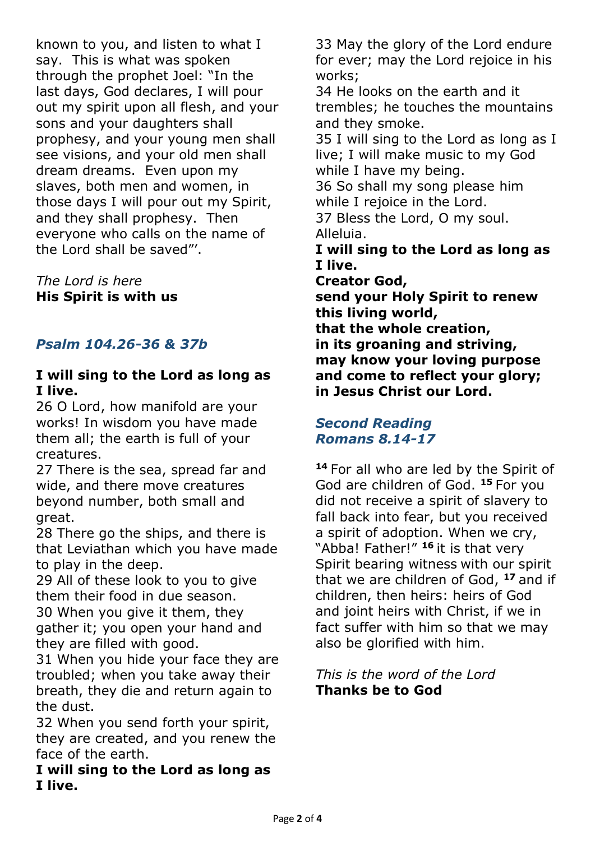known to you, and listen to what I say. This is what was spoken through the prophet Joel: "In the last days, God declares, I will pour out my spirit upon all flesh, and your sons and your daughters shall prophesy, and your young men shall see visions, and your old men shall dream dreams. Even upon my slaves, both men and women, in those days I will pour out my Spirit, and they shall prophesy. Then everyone who calls on the name of the Lord shall be saved"'.

*The Lord is here* **His Spirit is with us**

# *Psalm 104.26-36 & 37b*

#### **I will sing to the Lord as long as I live.**

26 O Lord, how manifold are your works! In wisdom you have made them all; the earth is full of your creatures.

27 There is the sea, spread far and wide, and there move creatures beyond number, both small and great.

28 There go the ships, and there is that Leviathan which you have made to play in the deep.

29 All of these look to you to give them their food in due season. 30 When you give it them, they gather it; you open your hand and they are filled with good.

31 When you hide your face they are troubled; when you take away their breath, they die and return again to the dust.

32 When you send forth your spirit, they are created, and you renew the face of the earth.

**I will sing to the Lord as long as I live.**

33 May the glory of the Lord endure for ever; may the Lord rejoice in his works;

34 He looks on the earth and it trembles; he touches the mountains and they smoke.

35 I will sing to the Lord as long as I live; I will make music to my God while I have my being.

36 So shall my song please him while I rejoice in the Lord.

37 Bless the Lord, O my soul. Alleluia.

**I will sing to the Lord as long as I live.**

**Creator God,**

**send your Holy Spirit to renew this living world, that the whole creation, in its groaning and striving, may know your loving purpose and come to reflect your glory; in Jesus Christ our Lord.**

#### *Second Reading Romans 8.14-17*

**<sup>14</sup>** For all who are led by the Spirit of God are children of God. **<sup>15</sup>** For you did not receive a spirit of slavery to fall back into fear, but you received a spirit of adoption. When we cry, "Abba! Father!" **<sup>16</sup>** it is that very Spirit bearing witness with our spirit that we are children of God, **<sup>17</sup>** and if children, then heirs: heirs of God and joint heirs with Christ, if we in fact suffer with him so that we may also be glorified with him.

#### *This is the word of the Lord* **Thanks be to God**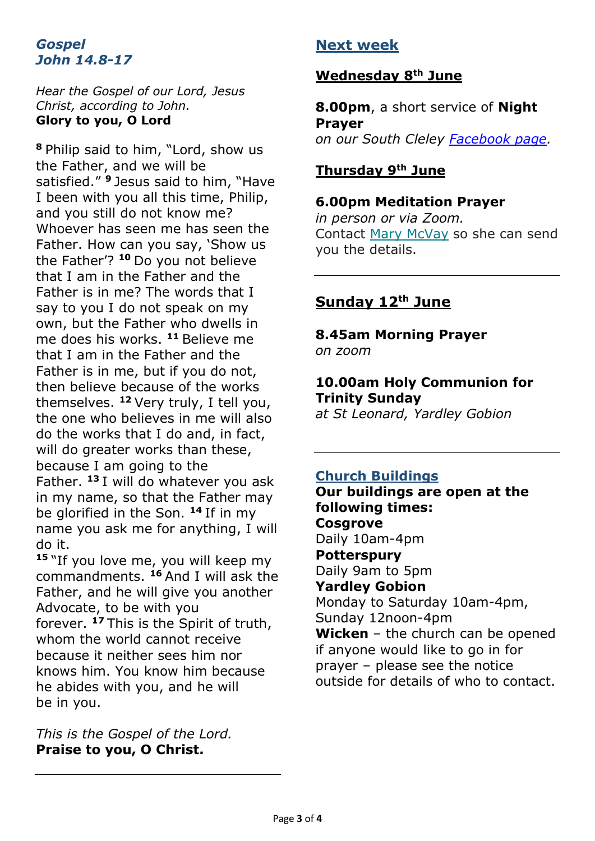#### *Gospel John 14.8-17*

#### *Hear the Gospel of our Lord, Jesus Christ, according to John.* **Glory to you, O Lord**

**<sup>8</sup>** Philip said to him, "Lord, show us the Father, and we will be satisfied." **<sup>9</sup>** Jesus said to him, "Have I been with you all this time, Philip, and you still do not know me? Whoever has seen me has seen the Father. How can you say, 'Show us the Father'? **<sup>10</sup>** Do you not believe that I am in the Father and the Father is in me? The words that I say to you I do not speak on my own, but the Father who dwells in me does his works. **<sup>11</sup>** Believe me that I am in the Father and the Father is in me, but if you do not, then believe because of the works themselves. **<sup>12</sup>** Very truly, I tell you, the one who believes in me will also do the works that I do and, in fact, will do greater works than these, because I am going to the Father. **<sup>13</sup>** I will do whatever you ask in my name, so that the Father may be glorified in the Son. **<sup>14</sup>** If in my name you ask me for anything, I will do it.

**<sup>15</sup>** "If you love me, you will keep my commandments. **<sup>16</sup>** And I will ask the Father, and he will give you another Advocate, to be with you forever. **<sup>17</sup>** This is the Spirit of truth, whom the world cannot receive because it neither sees him nor knows him. You know him because he abides with you, and he will be in you.

*This is the Gospel of the Lord.* **Praise to you, O Christ.**

# **Next week**

# **Wednesday 8th June**

**8.00pm**, a short service of **Night Prayer** *on our South Cleley [Facebook page.](https://www.facebook.com/southcleley)*

### **Thursday 9th June**

#### **6.00pm Meditation Prayer**

*in person or via Zoom.* Contact [Mary McVay](mailto:mary.mcvay@btinternet.com?subject=Christian%20meditation) so she can send you the details.

# **Sunday 12th June**

#### **8.45am Morning Prayer** *on zoom*

# **10.00am Holy Communion for Trinity Sunday**

*at St Leonard, Yardley Gobion*

# **Church Buildings**

**Our buildings are open at the following times: Cosgrove**  Daily 10am-4pm **Potterspury**  Daily 9am to 5pm **Yardley Gobion**  Monday to Saturday 10am-4pm, Sunday 12noon-4pm **Wicken** – the church can be opened if anyone would like to go in for prayer – please see the notice outside for details of who to contact.